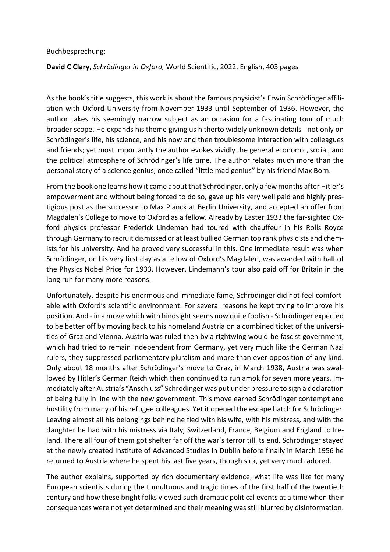## Buchbesprechung:

## **David C Clary**, *Schrödinger in Oxford,* World Scientific, 2022, English, 403 pages

As the book's title suggests, this work is about the famous physicist's Erwin Schrödinger affiliation with Oxford University from November 1933 until September of 1936. However, the author takes his seemingly narrow subject as an occasion for a fascinating tour of much broader scope. He expands his theme giving us hitherto widely unknown details - not only on Schrödinger's life, his science, and his now and then troublesome interaction with colleagues and friends; yet most importantly the author evokes vividly the general economic, social, and the political atmosphere of Schrödinger's life time. The author relates much more than the personal story of a science genius, once called "little mad genius" by his friend Max Born.

From the book one learns how it came about that Schrödinger, only a few months after Hitler's empowerment and without being forced to do so, gave up his very well paid and highly prestigious post as the successor to Max Planck at Berlin University, and accepted an offer from Magdalen's College to move to Oxford as a fellow. Already by Easter 1933 the far-sighted Oxford physics professor Frederick Lindeman had toured with chauffeur in his Rolls Royce through Germany to recruit dismissed or at least bullied German top rank physicists and chemists for his university. And he proved very successful in this. One immediate result was when Schrödinger, on his very first day as a fellow of Oxford's Magdalen, was awarded with half of the Physics Nobel Price for 1933. However, Lindemann's tour also paid off for Britain in the long run for many more reasons.

Unfortunately, despite his enormous and immediate fame, Schrödinger did not feel comfortable with Oxford's scientific environment. For several reasons he kept trying to improve his position. And - in a move which with hindsight seems now quite foolish - Schrödinger expected to be better off by moving back to his homeland Austria on a combined ticket of the universities of Graz and Vienna. Austria was ruled then by a rightwing would-be fascist government, which had tried to remain independent from Germany, yet very much like the German Nazi rulers, they suppressed parliamentary pluralism and more than ever opposition of any kind. Only about 18 months after Schrödinger's move to Graz, in March 1938, Austria was swallowed by Hitler's German Reich which then continued to run amok for seven more years. Immediately after Austria's "Anschluss" Schrödinger was put under pressure to sign a declaration of being fully in line with the new government. This move earned Schrödinger contempt and hostility from many of his refugee colleagues. Yet it opened the escape hatch for Schrödinger. Leaving almost all his belongings behind he fled with his wife, with his mistress, and with the daughter he had with his mistress via Italy, Switzerland, France, Belgium and England to Ireland. There all four of them got shelter far off the war's terror till its end. Schrödinger stayed at the newly created Institute of Advanced Studies in Dublin before finally in March 1956 he returned to Austria where he spent his last five years, though sick, yet very much adored.

The author explains, supported by rich documentary evidence, what life was like for many European scientists during the tumultuous and tragic times of the first half of the twentieth century and how these bright folks viewed such dramatic political events at a time when their consequences were not yet determined and their meaning was still blurred by disinformation.